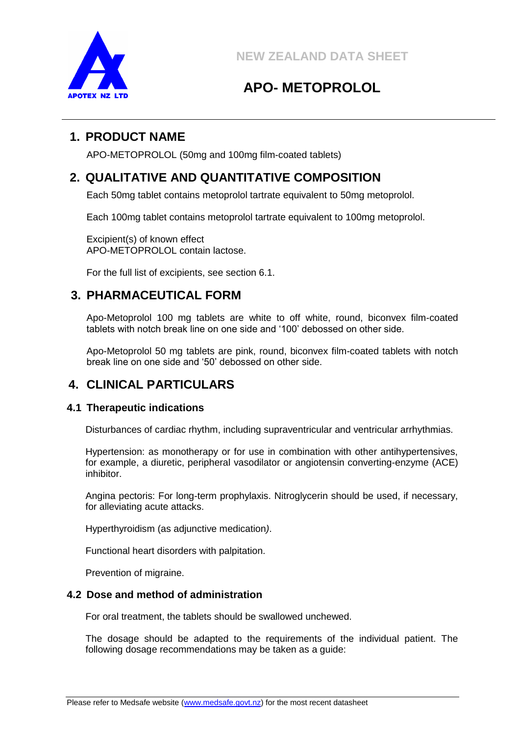

# **APO- METOPROLOL**

## **1. PRODUCT NAME**

APO-METOPROLOL (50mg and 100mg film-coated tablets)

## **2. QUALITATIVE AND QUANTITATIVE COMPOSITION**

Each 50mg tablet contains metoprolol tartrate equivalent to 50mg metoprolol.

Each 100mg tablet contains metoprolol tartrate equivalent to 100mg metoprolol.

Excipient(s) of known effect APO-METOPROLOL contain lactose.

For the full list of excipients, see section 6.1.

## **3. PHARMACEUTICAL FORM**

Apo-Metoprolol 100 mg tablets are white to off white, round, biconvex film-coated tablets with notch break line on one side and '100' debossed on other side.

Apo-Metoprolol 50 mg tablets are pink, round, biconvex film-coated tablets with notch break line on one side and '50' debossed on other side.

## **4. CLINICAL PARTICULARS**

## **4.1 Therapeutic indications**

Disturbances of cardiac rhythm, including supraventricular and ventricular arrhythmias.

Hypertension: as monotherapy or for use in combination with other antihypertensives, for example, a diuretic, peripheral vasodilator or angiotensin converting-enzyme (ACE) inhibitor.

Angina pectoris: For long-term prophylaxis. Nitroglycerin should be used, if necessary, for alleviating acute attacks.

Hyperthyroidism (as adjunctive medication*)*.

Functional heart disorders with palpitation.

Prevention of migraine.

## **4.2 Dose and method of administration**

For oral treatment, the tablets should be swallowed unchewed.

The dosage should be adapted to the requirements of the individual patient. The following dosage recommendations may be taken as a guide: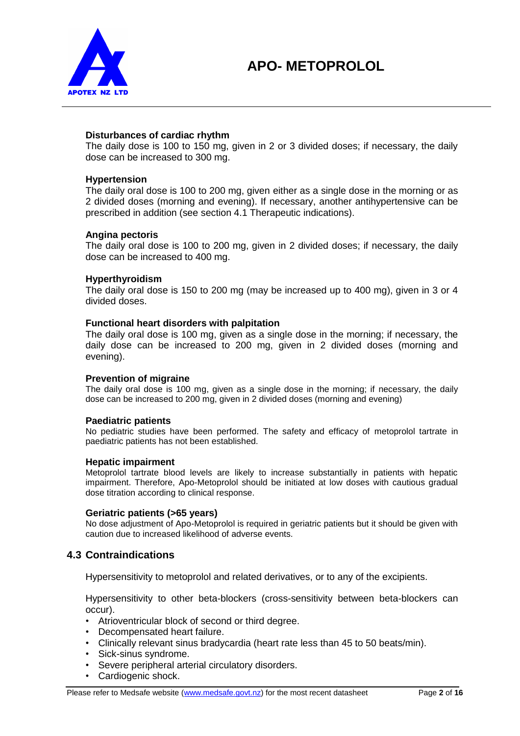

#### **Disturbances of cardiac rhythm**

The daily dose is 100 to 150 mg, given in 2 or 3 divided doses; if necessary, the daily dose can be increased to 300 mg.

#### **Hypertension**

The daily oral dose is 100 to 200 mg, given either as a single dose in the morning or as 2 divided doses (morning and evening). If necessary, another antihypertensive can be prescribed in addition (see section 4.1 Therapeutic indications).

#### **Angina pectoris**

The daily oral dose is 100 to 200 mg, given in 2 divided doses; if necessary, the daily dose can be increased to 400 mg.

#### **Hyperthyroidism**

The daily oral dose is 150 to 200 mg (may be increased up to 400 mg), given in 3 or 4 divided doses.

#### **Functional heart disorders with palpitation**

The daily oral dose is 100 mg, given as a single dose in the morning; if necessary, the daily dose can be increased to 200 mg, given in 2 divided doses (morning and evening).

#### **Prevention of migraine**

The daily oral dose is 100 mg, given as a single dose in the morning; if necessary, the daily dose can be increased to 200 mg, given in 2 divided doses (morning and evening)

#### **Paediatric patients**

No pediatric studies have been performed. The safety and efficacy of metoprolol tartrate in paediatric patients has not been established.

#### **Hepatic impairment**

Metoprolol tartrate blood levels are likely to increase substantially in patients with hepatic impairment. Therefore, Apo-Metoprolol should be initiated at low doses with cautious gradual dose titration according to clinical response.

#### **Geriatric patients (>65 years)**

No dose adjustment of Apo-Metoprolol is required in geriatric patients but it should be given with caution due to increased likelihood of adverse events.

#### **4.3 Contraindications**

Hypersensitivity to metoprolol and related derivatives, or to any of the excipients.

Hypersensitivity to other beta-blockers (cross-sensitivity between beta-blockers can occur).

- Atrioventricular block of second or third degree.
- Decompensated heart failure.
- Clinically relevant sinus bradycardia (heart rate less than 45 to 50 beats/min).
- Sick-sinus syndrome.
- Severe peripheral arterial circulatory disorders.
- Cardiogenic shock.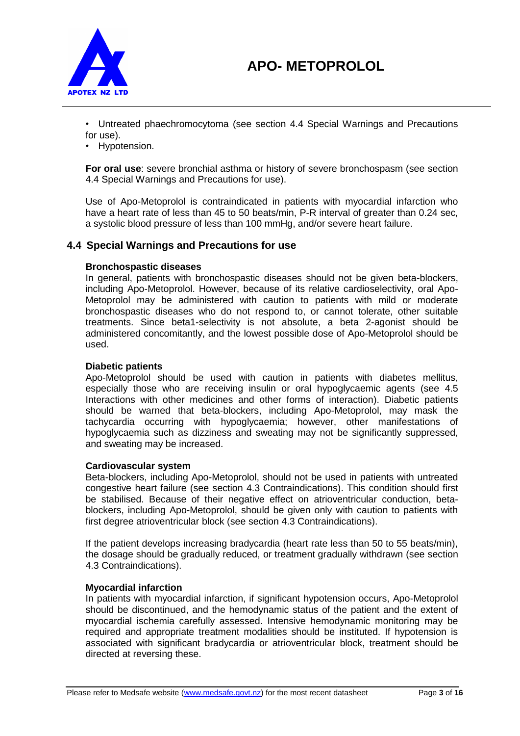

• Untreated phaechromocytoma (see section 4.4 Special Warnings and Precautions for use).

• Hypotension.

**For oral use**: severe bronchial asthma or history of severe bronchospasm (see section 4.4 Special Warnings and Precautions for use).

Use of Apo-Metoprolol is contraindicated in patients with myocardial infarction who have a heart rate of less than 45 to 50 beats/min, P-R interval of greater than 0.24 sec, a systolic blood pressure of less than 100 mmHg, and/or severe heart failure.

## **4.4 Special Warnings and Precautions for use**

#### **Bronchospastic diseases**

In general, patients with bronchospastic diseases should not be given beta-blockers, including Apo-Metoprolol. However, because of its relative cardioselectivity, oral Apo-Metoprolol may be administered with caution to patients with mild or moderate bronchospastic diseases who do not respond to, or cannot tolerate, other suitable treatments. Since beta1-selectivity is not absolute, a beta 2-agonist should be administered concomitantly, and the lowest possible dose of Apo-Metoprolol should be used.

#### **Diabetic patients**

Apo-Metoprolol should be used with caution in patients with diabetes mellitus, especially those who are receiving insulin or oral hypoglycaemic agents (see 4.5 Interactions with other medicines and other forms of interaction). Diabetic patients should be warned that beta-blockers, including Apo-Metoprolol, may mask the tachycardia occurring with hypoglycaemia; however, other manifestations of hypoglycaemia such as dizziness and sweating may not be significantly suppressed, and sweating may be increased.

#### **Cardiovascular system**

Beta-blockers, including Apo-Metoprolol, should not be used in patients with untreated congestive heart failure (see section 4.3 Contraindications). This condition should first be stabilised. Because of their negative effect on atrioventricular conduction, betablockers, including Apo-Metoprolol, should be given only with caution to patients with first degree atrioventricular block (see section 4.3 Contraindications).

If the patient develops increasing bradycardia (heart rate less than 50 to 55 beats/min), the dosage should be gradually reduced, or treatment gradually withdrawn (see section 4.3 Contraindications).

#### **Myocardial infarction**

In patients with myocardial infarction, if significant hypotension occurs, Apo-Metoprolol should be discontinued, and the hemodynamic status of the patient and the extent of myocardial ischemia carefully assessed. Intensive hemodynamic monitoring may be required and appropriate treatment modalities should be instituted. If hypotension is associated with significant bradycardia or atrioventricular block, treatment should be directed at reversing these.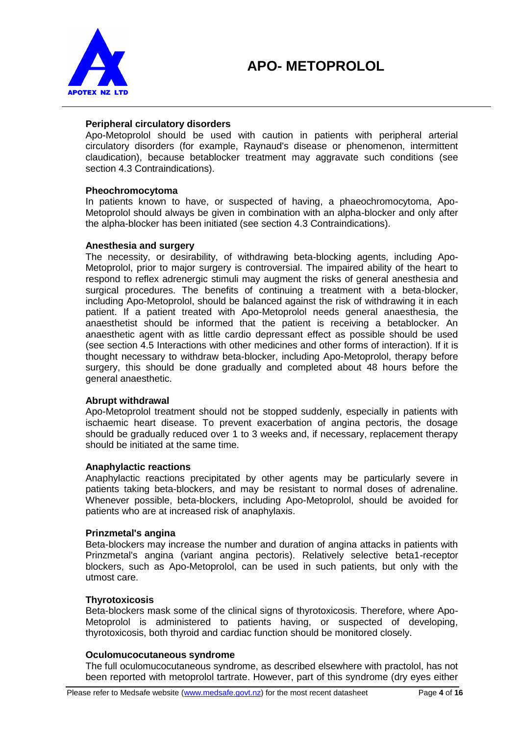

## **Peripheral circulatory disorders**

Apo-Metoprolol should be used with caution in patients with peripheral arterial circulatory disorders (for example, Raynaud's disease or phenomenon, intermittent claudication), because betablocker treatment may aggravate such conditions (see section 4.3 Contraindications).

#### **Pheochromocytoma**

In patients known to have, or suspected of having, a phaeochromocytoma, Apo-Metoprolol should always be given in combination with an alpha-blocker and only after the alpha-blocker has been initiated (see section 4.3 Contraindications).

#### **Anesthesia and surgery**

The necessity, or desirability, of withdrawing beta-blocking agents, including Apo-Metoprolol, prior to major surgery is controversial. The impaired ability of the heart to respond to reflex adrenergic stimuli may augment the risks of general anesthesia and surgical procedures. The benefits of continuing a treatment with a beta-blocker, including Apo-Metoprolol, should be balanced against the risk of withdrawing it in each patient. If a patient treated with Apo-Metoprolol needs general anaesthesia, the anaesthetist should be informed that the patient is receiving a betablocker. An anaesthetic agent with as little cardio depressant effect as possible should be used (see section 4.5 Interactions with other medicines and other forms of interaction). If it is thought necessary to withdraw beta-blocker, including Apo-Metoprolol, therapy before surgery, this should be done gradually and completed about 48 hours before the general anaesthetic.

#### **Abrupt withdrawal**

Apo-Metoprolol treatment should not be stopped suddenly, especially in patients with ischaemic heart disease. To prevent exacerbation of angina pectoris, the dosage should be gradually reduced over 1 to 3 weeks and, if necessary, replacement therapy should be initiated at the same time.

#### **Anaphylactic reactions**

Anaphylactic reactions precipitated by other agents may be particularly severe in patients taking beta-blockers, and may be resistant to normal doses of adrenaline. Whenever possible, beta-blockers, including Apo-Metoprolol, should be avoided for patients who are at increased risk of anaphylaxis.

## **Prinzmetal's angina**

Beta-blockers may increase the number and duration of angina attacks in patients with Prinzmetal's angina (variant angina pectoris). Relatively selective beta1-receptor blockers, such as Apo-Metoprolol, can be used in such patients, but only with the utmost care.

#### **Thyrotoxicosis**

Beta-blockers mask some of the clinical signs of thyrotoxicosis. Therefore, where Apo-Metoprolol is administered to patients having, or suspected of developing, thyrotoxicosis, both thyroid and cardiac function should be monitored closely.

#### **Oculomucocutaneous syndrome**

The full oculomucocutaneous syndrome, as described elsewhere with practolol, has not been reported with metoprolol tartrate. However, part of this syndrome (dry eyes either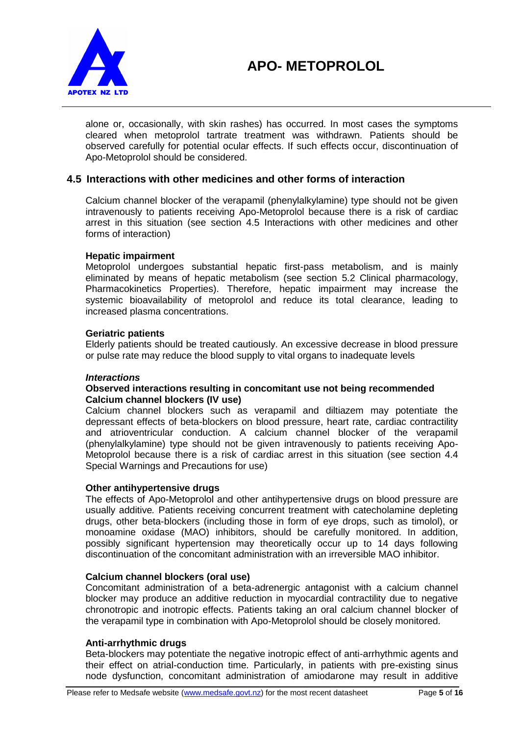

alone or, occasionally, with skin rashes) has occurred. In most cases the symptoms cleared when metoprolol tartrate treatment was withdrawn. Patients should be observed carefully for potential ocular effects. If such effects occur, discontinuation of Apo-Metoprolol should be considered.

## **4.5 Interactions with other medicines and other forms of interaction**

Calcium channel blocker of the verapamil (phenylalkylamine) type should not be given intravenously to patients receiving Apo-Metoprolol because there is a risk of cardiac arrest in this situation (see section 4.5 Interactions with other medicines and other forms of interaction)

#### **Hepatic impairment**

Metoprolol undergoes substantial hepatic first-pass metabolism, and is mainly eliminated by means of hepatic metabolism (see section 5.2 Clinical pharmacology, Pharmacokinetics Properties). Therefore, hepatic impairment may increase the systemic bioavailability of metoprolol and reduce its total clearance, leading to increased plasma concentrations.

#### **Geriatric patients**

Elderly patients should be treated cautiously. An excessive decrease in blood pressure or pulse rate may reduce the blood supply to vital organs to inadequate levels

#### *Interactions*

#### **Observed interactions resulting in concomitant use not being recommended Calcium channel blockers (IV use)**

Calcium channel blockers such as verapamil and diltiazem may potentiate the depressant effects of beta-blockers on blood pressure, heart rate, cardiac contractility and atrioventricular conduction. A calcium channel blocker of the verapamil (phenylalkylamine) type should not be given intravenously to patients receiving Apo-Metoprolol because there is a risk of cardiac arrest in this situation (see section 4.4 Special Warnings and Precautions for use)

#### **Other antihypertensive drugs**

The effects of Apo-Metoprolol and other antihypertensive drugs on blood pressure are usually additive*.* Patients receiving concurrent treatment with catecholamine depleting drugs, other beta-blockers (including those in form of eye drops, such as timolol), or monoamine oxidase (MAO) inhibitors, should be carefully monitored. In addition, possibly significant hypertension may theoretically occur up to 14 days following discontinuation of the concomitant administration with an irreversible MAO inhibitor.

#### **Calcium channel blockers (oral use)**

Concomitant administration of a beta-adrenergic antagonist with a calcium channel blocker may produce an additive reduction in myocardial contractility due to negative chronotropic and inotropic effects. Patients taking an oral calcium channel blocker of the verapamil type in combination with Apo-Metoprolol should be closely monitored.

#### **Anti-arrhythmic drugs**

Beta-blockers may potentiate the negative inotropic effect of anti-arrhythmic agents and their effect on atrial-conduction time. Particularly, in patients with pre-existing sinus node dysfunction, concomitant administration of amiodarone may result in additive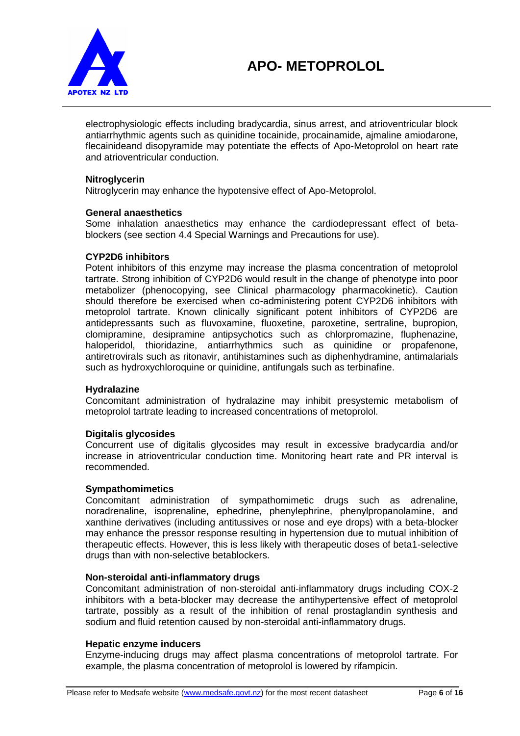



electrophysiologic effects including bradycardia, sinus arrest, and atrioventricular block antiarrhythmic agents such as quinidine tocainide, procainamide, ajmaline amiodarone, flecainideand disopyramide may potentiate the effects of Apo-Metoprolol on heart rate and atrioventricular conduction.

#### **Nitroglycerin**

Nitroglycerin may enhance the hypotensive effect of Apo-Metoprolol.

#### **General anaesthetics**

Some inhalation anaesthetics may enhance the cardiodepressant effect of betablockers (see section 4.4 Special Warnings and Precautions for use).

#### **CYP2D6 inhibitors**

Potent inhibitors of this enzyme may increase the plasma concentration of metoprolol tartrate. Strong inhibition of CYP2D6 would result in the change of phenotype into poor metabolizer (phenocopying, see Clinical pharmacology pharmacokinetic). Caution should therefore be exercised when co-administering potent CYP2D6 inhibitors with metoprolol tartrate. Known clinically significant potent inhibitors of CYP2D6 are antidepressants such as fluvoxamine, fluoxetine, paroxetine, sertraline, bupropion, clomipramine, desipramine antipsychotics such as chlorpromazine, fluphenazine, haloperidol, thioridazine, antiarrhythmics such as quinidine or propafenone, antiretrovirals such as ritonavir, antihistamines such as diphenhydramine, antimalarials such as hydroxychloroquine or quinidine, antifungals such as terbinafine.

#### **Hydralazine**

Concomitant administration of hydralazine may inhibit presystemic metabolism of metoprolol tartrate leading to increased concentrations of metoprolol.

#### **Digitalis glycosides**

Concurrent use of digitalis glycosides may result in excessive bradycardia and/or increase in atrioventricular conduction time. Monitoring heart rate and PR interval is recommended.

#### **Sympathomimetics**

Concomitant administration of sympathomimetic drugs such as adrenaline, noradrenaline, isoprenaline, ephedrine, phenylephrine, phenylpropanolamine, and xanthine derivatives (including antitussives or nose and eye drops) with a beta-blocker may enhance the pressor response resulting in hypertension due to mutual inhibition of therapeutic effects. However, this is less likely with therapeutic doses of beta1-selective drugs than with non-selective betablockers.

#### **Non-steroidal anti-inflammatory drugs**

Concomitant administration of non-steroidal anti-inflammatory drugs including COX-2 inhibitors with a beta-blocker may decrease the antihypertensive effect of metoprolol tartrate, possibly as a result of the inhibition of renal prostaglandin synthesis and sodium and fluid retention caused by non-steroidal anti-inflammatory drugs.

#### **Hepatic enzyme inducers**

Enzyme-inducing drugs may affect plasma concentrations of metoprolol tartrate. For example, the plasma concentration of metoprolol is lowered by rifampicin.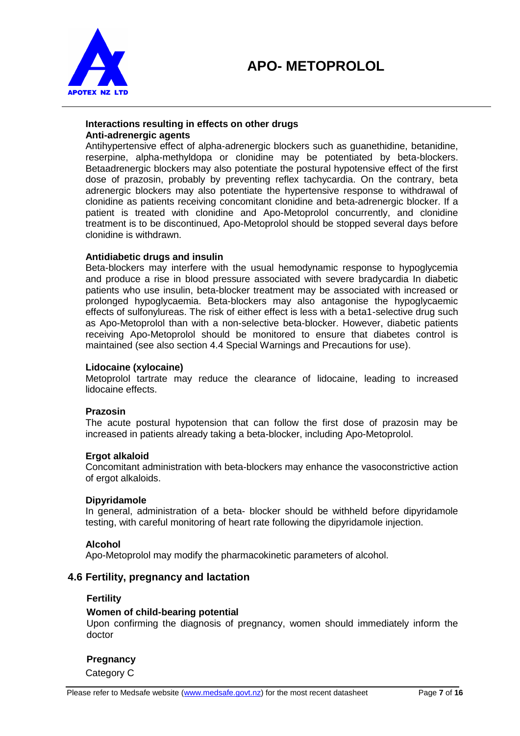



#### **Interactions resulting in effects on other drugs Anti-adrenergic agents**

Antihypertensive effect of alpha-adrenergic blockers such as guanethidine, betanidine, reserpine, alpha-methyldopa or clonidine may be potentiated by beta-blockers. Betaadrenergic blockers may also potentiate the postural hypotensive effect of the first dose of prazosin, probably by preventing reflex tachycardia. On the contrary, beta adrenergic blockers may also potentiate the hypertensive response to withdrawal of clonidine as patients receiving concomitant clonidine and beta-adrenergic blocker. If a patient is treated with clonidine and Apo-Metoprolol concurrently, and clonidine treatment is to be discontinued, Apo-Metoprolol should be stopped several days before clonidine is withdrawn.

#### **Antidiabetic drugs and insulin**

Beta-blockers may interfere with the usual hemodynamic response to hypoglycemia and produce a rise in blood pressure associated with severe bradycardia In diabetic patients who use insulin, beta-blocker treatment may be associated with increased or prolonged hypoglycaemia. Beta-blockers may also antagonise the hypoglycaemic effects of sulfonylureas. The risk of either effect is less with a beta1-selective drug such as Apo-Metoprolol than with a non-selective beta-blocker. However, diabetic patients receiving Apo-Metoprolol should be monitored to ensure that diabetes control is maintained (see also section 4.4 Special Warnings and Precautions for use).

#### **Lidocaine (xylocaine)**

Metoprolol tartrate may reduce the clearance of lidocaine, leading to increased lidocaine effects.

#### **Prazosin**

The acute postural hypotension that can follow the first dose of prazosin may be increased in patients already taking a beta-blocker, including Apo-Metoprolol.

#### **Ergot alkaloid**

Concomitant administration with beta-blockers may enhance the vasoconstrictive action of ergot alkaloids.

#### **Dipyridamole**

In general, administration of a beta- blocker should be withheld before dipyridamole testing, with careful monitoring of heart rate following the dipyridamole injection.

#### **Alcohol**

Apo-Metoprolol may modify the pharmacokinetic parameters of alcohol.

#### **4.6 Fertility, pregnancy and lactation**

#### **Fertility**

#### **Women of child-bearing potential**

Upon confirming the diagnosis of pregnancy, women should immediately inform the doctor

#### **Pregnancy**

Category C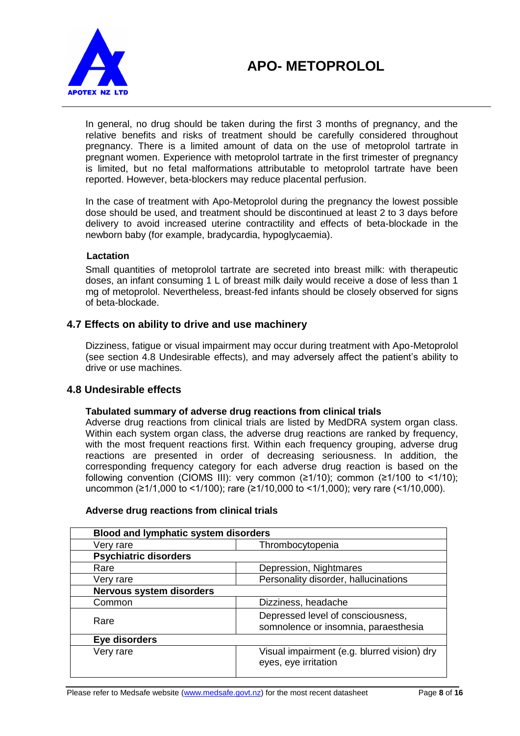

In general, no drug should be taken during the first 3 months of pregnancy, and the relative benefits and risks of treatment should be carefully considered throughout pregnancy. There is a limited amount of data on the use of metoprolol tartrate in pregnant women. Experience with metoprolol tartrate in the first trimester of pregnancy is limited, but no fetal malformations attributable to metoprolol tartrate have been reported. However, beta-blockers may reduce placental perfusion.

In the case of treatment with Apo-Metoprolol during the pregnancy the lowest possible dose should be used, and treatment should be discontinued at least 2 to 3 days before delivery to avoid increased uterine contractility and effects of beta-blockade in the newborn baby (for example, bradycardia, hypoglycaemia).

## **Lactation**

Small quantities of metoprolol tartrate are secreted into breast milk: with therapeutic doses, an infant consuming 1 L of breast milk daily would receive a dose of less than 1 mg of metoprolol. Nevertheless, breast-fed infants should be closely observed for signs of beta-blockade.

## **4.7 Effects on ability to drive and use machinery**

Dizziness, fatigue or visual impairment may occur during treatment with Apo-Metoprolol (see section 4.8 Undesirable effects), and may adversely affect the patient's ability to drive or use machines.

## **4.8 Undesirable effects**

## **Tabulated summary of adverse drug reactions from clinical trials**

Adverse drug reactions from clinical trials are listed by MedDRA system organ class. Within each system organ class, the adverse drug reactions are ranked by frequency, with the most frequent reactions first. Within each frequency grouping, adverse drug reactions are presented in order of decreasing seriousness. In addition, the corresponding frequency category for each adverse drug reaction is based on the following convention (CIOMS III): very common  $(≥1/10)$ ; common  $(≥1/100$  to <1/10); uncommon (≥1/1,000 to <1/100); rare (≥1/10,000 to <1/1,000); very rare (<1/10,000).

| <b>Blood and lymphatic system disorders</b> |                                                                           |
|---------------------------------------------|---------------------------------------------------------------------------|
| Very rare                                   | Thrombocytopenia                                                          |
| <b>Psychiatric disorders</b>                |                                                                           |
| Rare                                        | Depression, Nightmares                                                    |
| Very rare                                   | Personality disorder, hallucinations                                      |
| <b>Nervous system disorders</b>             |                                                                           |
| Common                                      | Dizziness, headache                                                       |
| Rare                                        | Depressed level of consciousness,<br>somnolence or insomnia, paraesthesia |
| Eye disorders                               |                                                                           |
| Very rare                                   | Visual impairment (e.g. blurred vision) dry<br>eyes, eye irritation       |

## **Adverse drug reactions from clinical trials**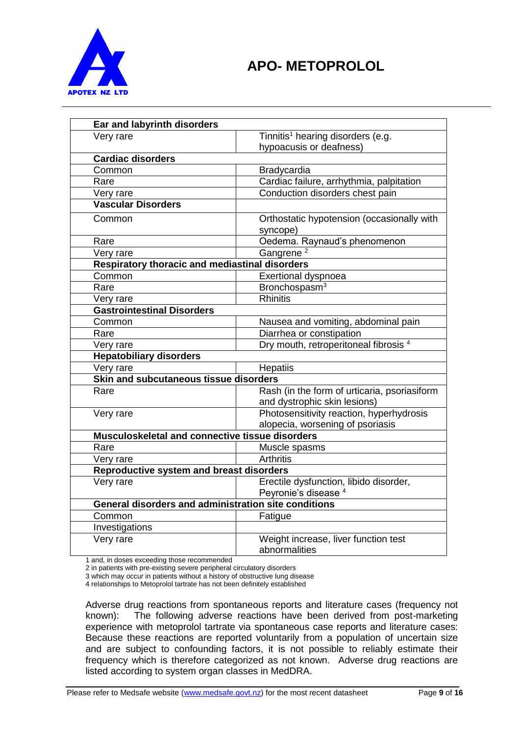

| Ear and labyrinth disorders                          |                                                                              |  |
|------------------------------------------------------|------------------------------------------------------------------------------|--|
| Very rare                                            | Tinnitis <sup>1</sup> hearing disorders (e.g.                                |  |
|                                                      | hypoacusis or deafness)                                                      |  |
| <b>Cardiac disorders</b>                             |                                                                              |  |
| Common                                               | <b>Bradycardia</b>                                                           |  |
| Rare                                                 | Cardiac failure, arrhythmia, palpitation                                     |  |
| Very rare                                            | Conduction disorders chest pain                                              |  |
| <b>Vascular Disorders</b>                            |                                                                              |  |
| Common                                               | Orthostatic hypotension (occasionally with<br>syncope)                       |  |
| Rare                                                 | Oedema. Raynaud's phenomenon                                                 |  |
| Very rare                                            | Gangrene <sup>2</sup>                                                        |  |
| Respiratory thoracic and mediastinal disorders       |                                                                              |  |
| Common                                               | Exertional dyspnoea                                                          |  |
| Rare                                                 | Bronchospasm <sup>3</sup>                                                    |  |
| Very rare                                            | <b>Rhinitis</b>                                                              |  |
| <b>Gastrointestinal Disorders</b>                    |                                                                              |  |
| Common                                               | Nausea and vomiting, abdominal pain                                          |  |
| Rare                                                 | Diarrhea or constipation                                                     |  |
| Very rare                                            | Dry mouth, retroperitoneal fibrosis <sup>4</sup>                             |  |
| <b>Hepatobiliary disorders</b>                       |                                                                              |  |
| Very rare                                            | <b>Hepatiis</b>                                                              |  |
|                                                      | Skin and subcutaneous tissue disorders                                       |  |
| Rare                                                 | Rash (in the form of urticaria, psoriasiform<br>and dystrophic skin lesions) |  |
| Very rare                                            | Photosensitivity reaction, hyperhydrosis                                     |  |
|                                                      | alopecia, worsening of psoriasis                                             |  |
| Musculoskeletal and connective tissue disorders      |                                                                              |  |
| Rare                                                 | Muscle spasms                                                                |  |
| Very rare                                            | <b>Arthritis</b>                                                             |  |
| Reproductive system and breast disorders             |                                                                              |  |
| Very rare                                            | Erectile dysfunction, libido disorder,                                       |  |
|                                                      | Peyronie's disease <sup>4</sup>                                              |  |
| General disorders and administration site conditions |                                                                              |  |
| Common                                               | Fatigue                                                                      |  |
| Investigations                                       |                                                                              |  |
| Very rare                                            | Weight increase, liver function test<br>abnormalities                        |  |

1 and, in doses exceeding those recommended

2 in patients with pre-existing severe peripheral circulatory disorders

3 which may occur in patients without a history of obstructive lung disease

4 relationships to Metoprolol tartrate has not been definitely established

Adverse drug reactions from spontaneous reports and literature cases (frequency not known): The following adverse reactions have been derived from post-marketing experience with metoprolol tartrate via spontaneous case reports and literature cases: Because these reactions are reported voluntarily from a population of uncertain size and are subject to confounding factors, it is not possible to reliably estimate their frequency which is therefore categorized as not known. Adverse drug reactions are listed according to system organ classes in MedDRA.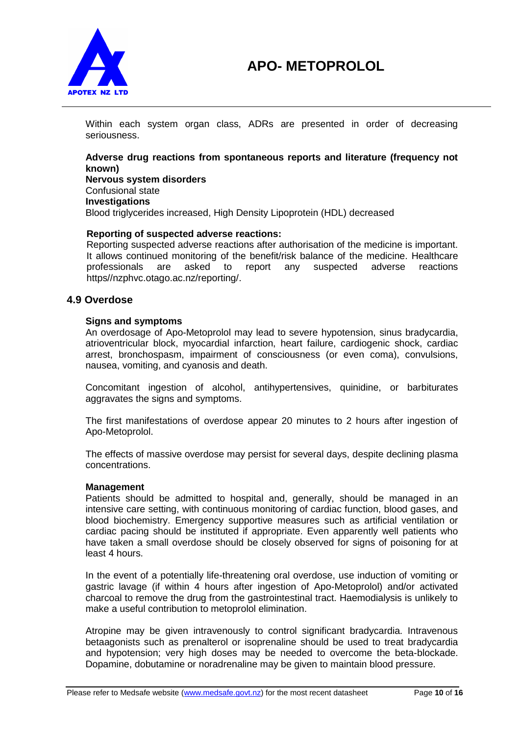

Within each system organ class, ADRs are presented in order of decreasing seriousness.

## **Adverse drug reactions from spontaneous reports and literature (frequency not known) Nervous system disorders**

Confusional state **Investigations** Blood triglycerides increased, High Density Lipoprotein (HDL) decreased

#### **Reporting of suspected adverse reactions:**

Reporting suspected adverse reactions after authorisation of the medicine is important. It allows continued monitoring of the benefit/risk balance of the medicine. Healthcare professionals are asked to report any suspected adverse reactions https//nzphvc.otago.ac.nz/reporting/.

## **4.9 Overdose**

#### **Signs and symptoms**

An overdosage of Apo-Metoprolol may lead to severe hypotension, sinus bradycardia, atrioventricular block, myocardial infarction, heart failure, cardiogenic shock, cardiac arrest, bronchospasm, impairment of consciousness (or even coma), convulsions, nausea, vomiting, and cyanosis and death.

Concomitant ingestion of alcohol, antihypertensives, quinidine, or barbiturates aggravates the signs and symptoms.

The first manifestations of overdose appear 20 minutes to 2 hours after ingestion of Apo-Metoprolol.

The effects of massive overdose may persist for several days, despite declining plasma concentrations.

#### **Management**

Patients should be admitted to hospital and, generally, should be managed in an intensive care setting, with continuous monitoring of cardiac function, blood gases, and blood biochemistry. Emergency supportive measures such as artificial ventilation or cardiac pacing should be instituted if appropriate. Even apparently well patients who have taken a small overdose should be closely observed for signs of poisoning for at least 4 hours.

In the event of a potentially life-threatening oral overdose, use induction of vomiting or gastric lavage (if within 4 hours after ingestion of Apo-Metoprolol) and/or activated charcoal to remove the drug from the gastrointestinal tract. Haemodialysis is unlikely to make a useful contribution to metoprolol elimination.

Atropine may be given intravenously to control significant bradycardia. Intravenous betaagonists such as prenalterol or isoprenaline should be used to treat bradycardia and hypotension; very high doses may be needed to overcome the beta-blockade. Dopamine, dobutamine or noradrenaline may be given to maintain blood pressure.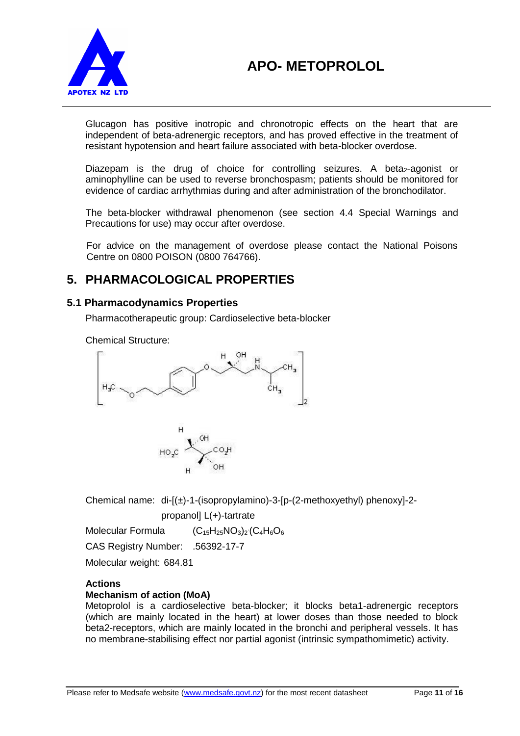

Glucagon has positive inotropic and chronotropic effects on the heart that are independent of beta-adrenergic receptors, and has proved effective in the treatment of resistant hypotension and heart failure associated with beta-blocker overdose.

Diazepam is the drug of choice for controlling seizures. A beta<sub>2</sub>-agonist or aminophylline can be used to reverse bronchospasm; patients should be monitored for evidence of cardiac arrhythmias during and after administration of the bronchodilator.

The beta-blocker withdrawal phenomenon (see section 4.4 Special Warnings and Precautions for use) may occur after overdose.

For advice on the management of overdose please contact the National Poisons Centre on 0800 POISON (0800 764766).

## **5. PHARMACOLOGICAL PROPERTIES**

## **5.1 Pharmacodynamics Properties**

Pharmacotherapeutic group: Cardioselective beta-blocker

Chemical Structure:





Chemical name:  $di-[({\pm})-1-({isopropylamino})-3-[p-(2-methoxyethyl)$  phenoxy]-2-

propanol] L(+)-tartrate

Molecular Formula  $C_4H_6O_6$ 

CAS Registry Number: .56392-17-7

Molecular weight: 684.81

## **Actions**

## **Mechanism of action (MoA)**

Metoprolol is a cardioselective beta-blocker; it blocks beta1-adrenergic receptors (which are mainly located in the heart) at lower doses than those needed to block beta2-receptors, which are mainly located in the bronchi and peripheral vessels. It has no membrane-stabilising effect nor partial agonist (intrinsic sympathomimetic) activity.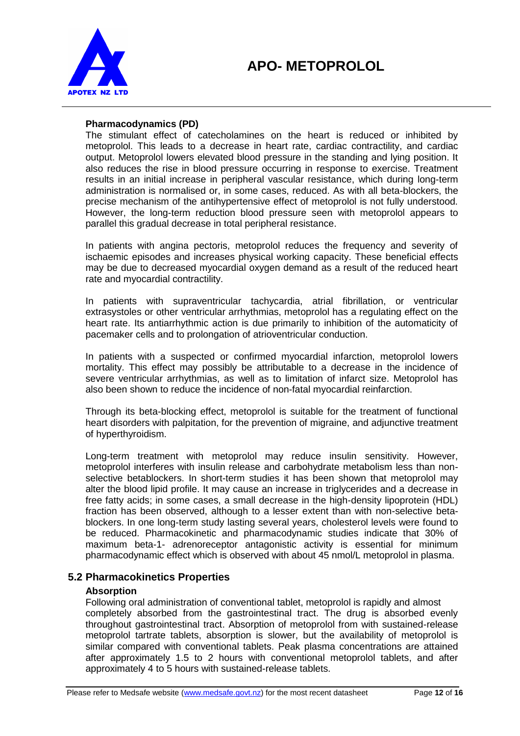

#### **Pharmacodynamics (PD)**

The stimulant effect of catecholamines on the heart is reduced or inhibited by metoprolol. This leads to a decrease in heart rate, cardiac contractility, and cardiac output. Metoprolol lowers elevated blood pressure in the standing and lying position. It also reduces the rise in blood pressure occurring in response to exercise. Treatment results in an initial increase in peripheral vascular resistance, which during long-term administration is normalised or, in some cases, reduced. As with all beta-blockers, the precise mechanism of the antihypertensive effect of metoprolol is not fully understood. However, the long-term reduction blood pressure seen with metoprolol appears to parallel this gradual decrease in total peripheral resistance.

In patients with angina pectoris, metoprolol reduces the frequency and severity of ischaemic episodes and increases physical working capacity. These beneficial effects may be due to decreased myocardial oxygen demand as a result of the reduced heart rate and myocardial contractility.

In patients with supraventricular tachycardia, atrial fibrillation, or ventricular extrasystoles or other ventricular arrhythmias, metoprolol has a regulating effect on the heart rate. Its antiarrhythmic action is due primarily to inhibition of the automaticity of pacemaker cells and to prolongation of atrioventricular conduction.

In patients with a suspected or confirmed myocardial infarction, metoprolol lowers mortality. This effect may possibly be attributable to a decrease in the incidence of severe ventricular arrhythmias, as well as to limitation of infarct size. Metoprolol has also been shown to reduce the incidence of non-fatal myocardial reinfarction.

Through its beta-blocking effect, metoprolol is suitable for the treatment of functional heart disorders with palpitation, for the prevention of migraine, and adjunctive treatment of hyperthyroidism.

Long-term treatment with metoprolol may reduce insulin sensitivity. However, metoprolol interferes with insulin release and carbohydrate metabolism less than nonselective betablockers. In short-term studies it has been shown that metoprolol may alter the blood lipid profile. It may cause an increase in triglycerides and a decrease in free fatty acids; in some cases, a small decrease in the high-density lipoprotein (HDL) fraction has been observed, although to a lesser extent than with non-selective betablockers. In one long-term study lasting several years, cholesterol levels were found to be reduced. Pharmacokinetic and pharmacodynamic studies indicate that 30% of maximum beta-1- adrenoreceptor antagonistic activity is essential for minimum pharmacodynamic effect which is observed with about 45 nmol/L metoprolol in plasma.

## **5.2 Pharmacokinetics Properties**

#### **Absorption**

Following oral administration of conventional tablet, metoprolol is rapidly and almost completely absorbed from the gastrointestinal tract. The drug is absorbed evenly throughout gastrointestinal tract. Absorption of metoprolol from with sustained-release metoprolol tartrate tablets, absorption is slower, but the availability of metoprolol is similar compared with conventional tablets. Peak plasma concentrations are attained after approximately 1.5 to 2 hours with conventional metoprolol tablets, and after approximately 4 to 5 hours with sustained-release tablets.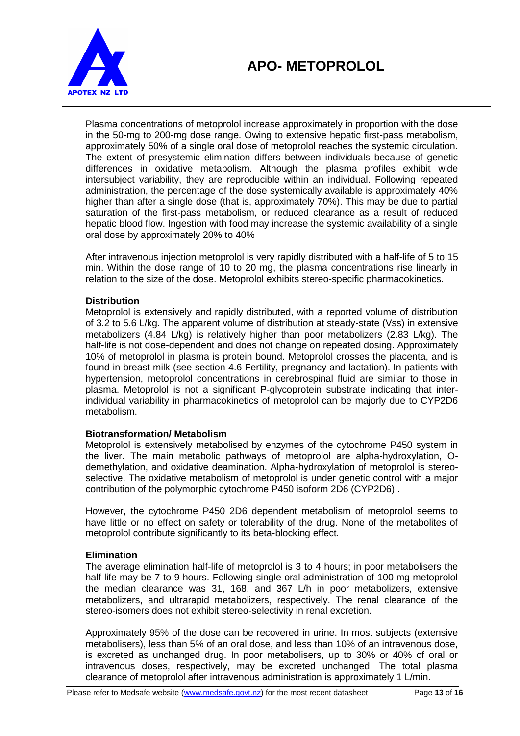

Plasma concentrations of metoprolol increase approximately in proportion with the dose in the 50-mg to 200-mg dose range. Owing to extensive hepatic first-pass metabolism, approximately 50% of a single oral dose of metoprolol reaches the systemic circulation. The extent of presystemic elimination differs between individuals because of genetic differences in oxidative metabolism. Although the plasma profiles exhibit wide intersubject variability, they are reproducible within an individual. Following repeated administration, the percentage of the dose systemically available is approximately 40% higher than after a single dose (that is, approximately 70%). This may be due to partial saturation of the first-pass metabolism, or reduced clearance as a result of reduced hepatic blood flow. Ingestion with food may increase the systemic availability of a single oral dose by approximately 20% to 40%

After intravenous injection metoprolol is very rapidly distributed with a half-life of 5 to 15 min. Within the dose range of 10 to 20 mg, the plasma concentrations rise linearly in relation to the size of the dose. Metoprolol exhibits stereo-specific pharmacokinetics.

## **Distribution**

Metoprolol is extensively and rapidly distributed, with a reported volume of distribution of 3.2 to 5.6 L/kg. The apparent volume of distribution at steady-state (Vss) in extensive metabolizers (4.84 L/kg) is relatively higher than poor metabolizers (2.83 L/kg). The half-life is not dose-dependent and does not change on repeated dosing. Approximately 10% of metoprolol in plasma is protein bound. Metoprolol crosses the placenta, and is found in breast milk (see section 4.6 Fertility, pregnancy and lactation). In patients with hypertension, metoprolol concentrations in cerebrospinal fluid are similar to those in plasma. Metoprolol is not a significant P-glycoprotein substrate indicating that interindividual variability in pharmacokinetics of metoprolol can be majorly due to CYP2D6 metabolism.

#### **Biotransformation/ Metabolism**

Metoprolol is extensively metabolised by enzymes of the cytochrome P450 system in the liver. The main metabolic pathways of metoprolol are alpha-hydroxylation, Odemethylation, and oxidative deamination. Alpha-hydroxylation of metoprolol is stereoselective. The oxidative metabolism of metoprolol is under genetic control with a major contribution of the polymorphic cytochrome P450 isoform 2D6 (CYP2D6)..

However, the cytochrome P450 2D6 dependent metabolism of metoprolol seems to have little or no effect on safety or tolerability of the drug. None of the metabolites of metoprolol contribute significantly to its beta-blocking effect.

#### **Elimination**

The average elimination half-life of metoprolol is 3 to 4 hours; in poor metabolisers the half-life may be 7 to 9 hours. Following single oral administration of 100 mg metoprolol the median clearance was 31, 168, and 367 L/h in poor metabolizers, extensive metabolizers, and ultrarapid metabolizers, respectively. The renal clearance of the stereo-isomers does not exhibit stereo-selectivity in renal excretion.

Approximately 95% of the dose can be recovered in urine. In most subjects (extensive metabolisers), less than 5% of an oral dose, and less than 10% of an intravenous dose, is excreted as unchanged drug. In poor metabolisers, up to 30% or 40% of oral or intravenous doses, respectively, may be excreted unchanged. The total plasma clearance of metoprolol after intravenous administration is approximately 1 L/min.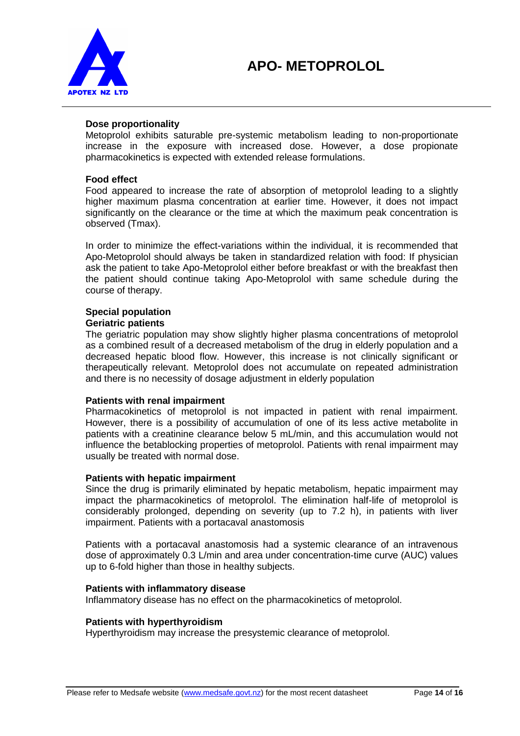

#### **Dose proportionality**

Metoprolol exhibits saturable pre-systemic metabolism leading to non-proportionate increase in the exposure with increased dose. However, a dose propionate pharmacokinetics is expected with extended release formulations.

#### **Food effect**

Food appeared to increase the rate of absorption of metoprolol leading to a slightly higher maximum plasma concentration at earlier time. However, it does not impact significantly on the clearance or the time at which the maximum peak concentration is observed (Tmax).

In order to minimize the effect-variations within the individual, it is recommended that Apo-Metoprolol should always be taken in standardized relation with food: If physician ask the patient to take Apo-Metoprolol either before breakfast or with the breakfast then the patient should continue taking Apo-Metoprolol with same schedule during the course of therapy.

## **Special population**

## **Geriatric patients**

The geriatric population may show slightly higher plasma concentrations of metoprolol as a combined result of a decreased metabolism of the drug in elderly population and a decreased hepatic blood flow. However, this increase is not clinically significant or therapeutically relevant. Metoprolol does not accumulate on repeated administration and there is no necessity of dosage adjustment in elderly population

#### **Patients with renal impairment**

Pharmacokinetics of metoprolol is not impacted in patient with renal impairment. However, there is a possibility of accumulation of one of its less active metabolite in patients with a creatinine clearance below 5 mL/min, and this accumulation would not influence the betablocking properties of metoprolol. Patients with renal impairment may usually be treated with normal dose.

#### **Patients with hepatic impairment**

Since the drug is primarily eliminated by hepatic metabolism, hepatic impairment may impact the pharmacokinetics of metoprolol. The elimination half-life of metoprolol is considerably prolonged, depending on severity (up to 7.2 h), in patients with liver impairment. Patients with a portacaval anastomosis

Patients with a portacaval anastomosis had a systemic clearance of an intravenous dose of approximately 0.3 L/min and area under concentration-time curve (AUC) values up to 6-fold higher than those in healthy subjects.

#### **Patients with inflammatory disease**

Inflammatory disease has no effect on the pharmacokinetics of metoprolol.

#### **Patients with hyperthyroidism**

Hyperthyroidism may increase the presystemic clearance of metoprolol.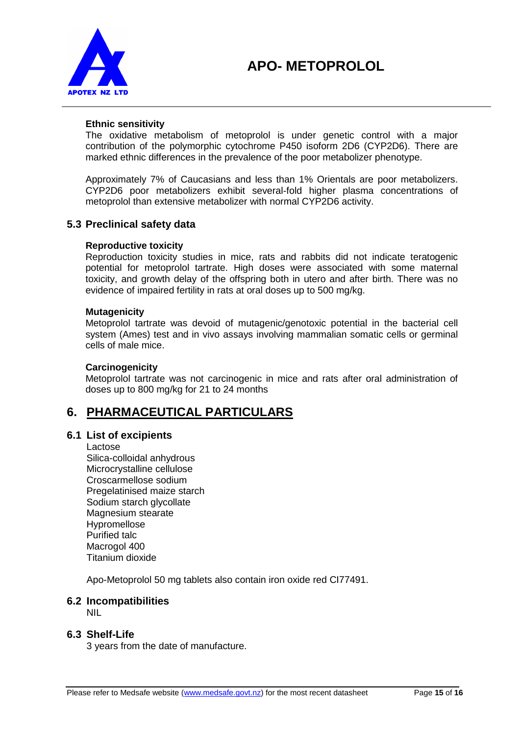

#### **Ethnic sensitivity**

The oxidative metabolism of metoprolol is under genetic control with a major contribution of the polymorphic cytochrome P450 isoform 2D6 (CYP2D6). There are marked ethnic differences in the prevalence of the poor metabolizer phenotype.

Approximately 7% of Caucasians and less than 1% Orientals are poor metabolizers. CYP2D6 poor metabolizers exhibit several-fold higher plasma concentrations of metoprolol than extensive metabolizer with normal CYP2D6 activity.

## **5.3 Preclinical safety data**

#### **Reproductive toxicity**

Reproduction toxicity studies in mice, rats and rabbits did not indicate teratogenic potential for metoprolol tartrate. High doses were associated with some maternal toxicity, and growth delay of the offspring both in utero and after birth. There was no evidence of impaired fertility in rats at oral doses up to 500 mg/kg.

#### **Mutagenicity**

Metoprolol tartrate was devoid of mutagenic/genotoxic potential in the bacterial cell system (Ames) test and in vivo assays involving mammalian somatic cells or germinal cells of male mice.

#### **Carcinogenicity**

Metoprolol tartrate was not carcinogenic in mice and rats after oral administration of doses up to 800 mg/kg for 21 to 24 months

## **6. PHARMACEUTICAL PARTICULARS**

## **6.1 List of excipients**

Lactose

Silica-colloidal anhydrous Microcrystalline cellulose Croscarmellose sodium Pregelatinised maize starch Sodium starch glycollate Magnesium stearate **Hypromellose** Purified talc Macrogol 400 Titanium dioxide

Apo-Metoprolol 50 mg tablets also contain iron oxide red CI77491.

## **6.2 Incompatibilities**

NIL

## **6.3 Shelf-Life**

3 years from the date of manufacture.